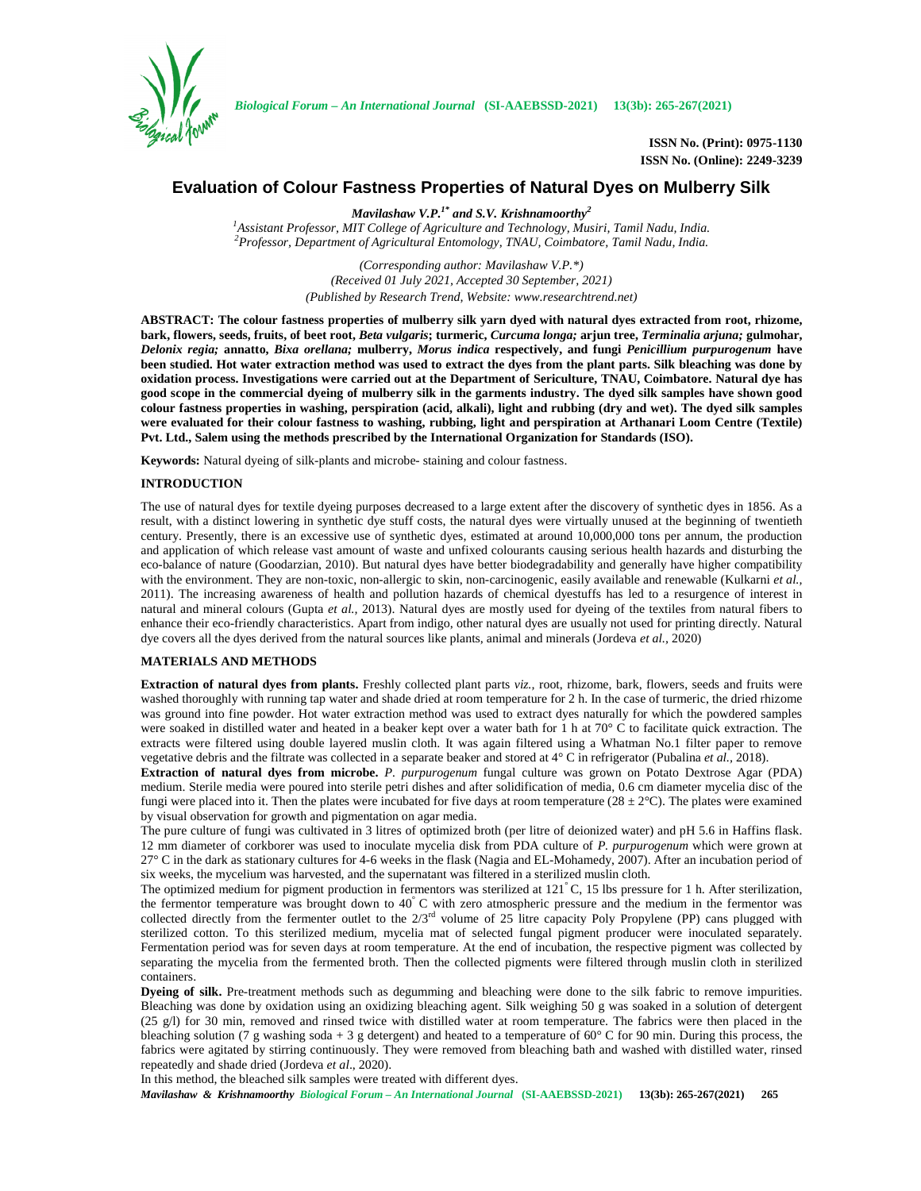

**ISSN No. (Print): 0975-1130 ISSN No. (Online): 2249-3239**

# **Evaluation of Colour Fastness Properties of Natural Dyes on Mulberry Silk**

*Mavilashaw V.P.1\* and S.V. Krishnamoorthy<sup>2</sup>*

*<sup>1</sup>Assistant Professor, MIT College of Agriculture and Technology, Musiri, Tamil Nadu, India. <sup>2</sup>Professor, Department of Agricultural Entomology, TNAU, Coimbatore, Tamil Nadu, India.*

*(Corresponding author: Mavilashaw V.P.\*) (Received 01 July 2021, Accepted 30 September, 2021) (Published by Research Trend, Website: <www.researchtrend.net>)*

**ABSTRACT: The colour fastness properties of mulberry silk yarn dyed with natural dyes extracted from root, rhizome, bark, flowers, seeds, fruits, of beet root,** *Beta vulgaris***; turmeric,** *Curcuma longa;* **arjun tree,** *Terminalia arjuna;* **gulmohar,** *Delonix regia;* **annatto,** *Bixa orellana;* **mulberry,** *Morus indica* **respectively, and fungi** *Penicillium purpurogenum* **have been studied. Hot water extraction method was used to extract the dyes from the plant parts. Silk bleaching was done by oxidation process. Investigations were carried out at the Department of Sericulture, TNAU, Coimbatore. Natural dye has good scope in the commercial dyeing of mulberry silk in the garments industry. The dyed silk samples have shown good colour fastness properties in washing, perspiration (acid, alkali), light and rubbing (dry and wet). The dyed silk samples were evaluated for their colour fastness to washing, rubbing, light and perspiration at Arthanari Loom Centre (Textile) Pvt. Ltd., Salem using the methods prescribed by the International Organization for Standards (ISO).**

**Keywords:** Natural dyeing of silk-plants and microbe- staining and colour fastness.

### **INTRODUCTION**

The use of natural dyes for textile dyeing purposes decreased to a large extent after the discovery of synthetic dyes in 1856. As a result, with a distinct lowering in synthetic dye stuff costs, the natural dyes were virtually unused at the beginning of twentieth century. Presently, there is an excessive use of synthetic dyes, estimated at around 10,000,000 tons per annum, the production and application of which release vast amount of waste and unfixed colourants causing serious health hazards and disturbing the eco-balance of nature (Goodarzian, 2010). But natural dyes have better biodegradability and generally have higher compatibility with the environment. They are non-toxic, non-allergic to skin, non-carcinogenic, easily available and renewable (Kulkarni *et al.,* 2011). The increasing awareness of health and pollution hazards of chemical dyestuffs has led to a resurgence of interest in natural and mineral colours (Gupta *et al.,* 2013). Natural dyes are mostly used for dyeing of the textiles from natural fibers to enhance their eco-friendly characteristics. Apart from indigo, other natural dyes are usually not used for printing directly. Natural dye covers all the dyes derived from the natural sources like plants, animal and minerals (Jordeva *et al.,* 2020)

## **MATERIALS AND METHODS**

**Extraction of natural dyes from plants.** Freshly collected plant parts *viz.,* root, rhizome, bark, flowers, seeds and fruits were washed thoroughly with running tap water and shade dried at room temperature for 2 h. In the case of turmeric, the dried rhizome was ground into fine powder. Hot water extraction method was used to extract dyes naturally for which the powdered samples were soaked in distilled water and heated in a beaker kept over a water bath for 1 h at 70° C to facilitate quick extraction. The extracts were filtered using double layered muslin cloth. It was again filtered using a Whatman No.1 filter paper to remove vegetative debris and the filtrate was collected in a separate beaker and stored at 4° C in refrigerator (Pubalina *et al.,* 2018).

**Extraction of natural dyes from microbe.** *P. purpurogenum* fungal culture was grown on Potato Dextrose Agar (PDA) medium. Sterile media were poured into sterile petri dishes and after solidification of media, 0.6 cm diameter mycelia disc of the fungi were placed into it. Then the plates were incubated for five days at room temperature  $(28 \pm 2^{\circ}C)$ . The plates were examined by visual observation for growth and pigmentation on agar media.

The pure culture of fungi was cultivated in 3 litres of optimized broth (per litre of deionized water) and pH 5.6 in Haffins flask. 12 mm diameter of corkborer was used to inoculate mycelia disk from PDA culture of *P. purpurogenum* which were grown at 27° C in the dark as stationary cultures for 4-6 weeks in the flask (Nagia and EL-Mohamedy, 2007). After an incubation period of six weeks, the mycelium was harvested, and the supernatant was filtered in a sterilized muslin cloth.

The optimized medium for pigment production in fermentors was sterilized at  $121^{\circ}$ C, 15 lbs pressure for 1 h. After sterilization, the fermentor temperature was brought down to 40° C with zero atmospheric pressure and the medium in the fermentor was collected directly from the fermenter outlet to the  $2/3<sup>rd</sup>$  volume of 25 litre capacity Poly Propylene (PP) cans plugged with sterilized cotton. To this sterilized medium, mycelia mat of selected fungal pigment producer were inoculated separately. Fermentation period was for seven days at room temperature. At the end of incubation, the respective pigment was collected by separating the mycelia from the fermented broth. Then the collected pigments were filtered through muslin cloth in sterilized containers.

**Dyeing of silk.** Pre-treatment methods such as degumming and bleaching were done to the silk fabric to remove impurities. Bleaching was done by oxidation using an oxidizing bleaching agent. Silk weighing 50 g was soaked in a solution of detergent (25 g/l) for 30 min, removed and rinsed twice with distilled water at room temperature. The fabrics were then placed in the bleaching solution (7 g washing soda + 3 g detergent) and heated to a temperature of 60° C for 90 min. During this process, the fabrics were agitated by stirring continuously. They were removed from bleaching bath and washed with distilled water, rinsed repeatedly and shade dried (Jordeva *et al*., 2020).

In this method, the bleached silk samples were treated with different dyes.

*Mavilashaw & Krishnamoorthy Biological Forum – An International Journal* **(SI-AAEBSSD-2021) 13(3b): 265-267(2021) 265**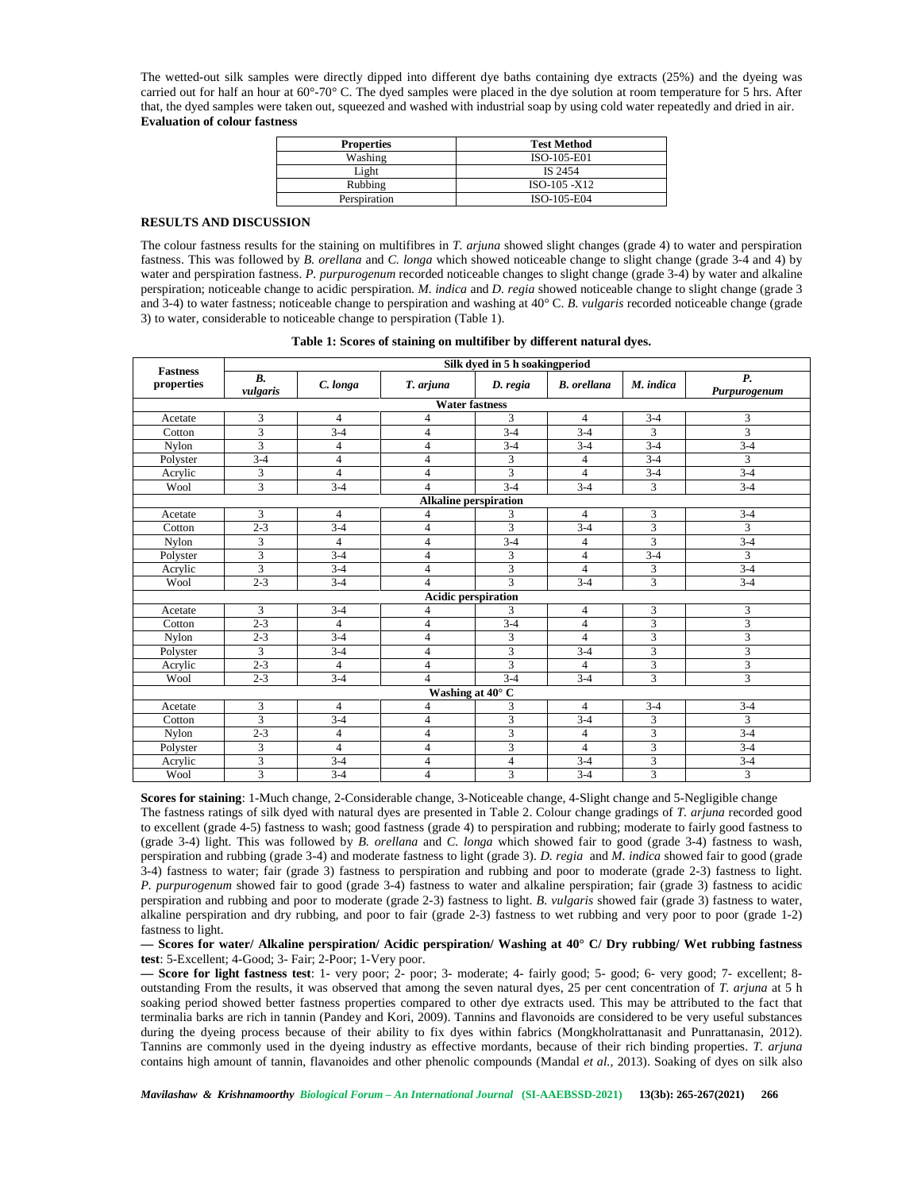The wetted-out silk samples were directly dipped into different dye baths containing dye extracts (25%) and the dyeing was carried out for half an hour at  $60^{\circ}$ -70 $^{\circ}$  C. The dyed samples were placed in the dye solution at room temperature for 5 hrs. After that, the dyed samples were taken out, squeezed and washed with industrial soap by using cold water repeatedly and dried in air. **Evaluation of colour fastness**

| <b>Properties</b> | <b>Test Method</b> |
|-------------------|--------------------|
| Washing           | ISO-105-E01        |
| Light             | IS 2454            |
| Rubbing           | $ISO-105 - X12$    |
| Perspiration      | ISO-105-E04        |

## **RESULTS AND DISCUSSION**

The colour fastness results for the staining on multifibres in *T. arjuna* showed slight changes (grade 4) to water and perspiration fastness. This was followed by *B. orellana* and *C. longa* which showed noticeable change to slight change (grade 3-4 and 4) by water and perspiration fastness. *P. purpurogenum* recorded noticeable changes to slight change (grade 3-4) by water and alkaline perspiration; noticeable change to acidic perspiration. *M. indica* and *D. regia* showed noticeable change to slight change (grade 3 and 3-4) to water fastness; noticeable change to perspiration and washing at 40° C. *B. vulgaris* recorded noticeable change (grade 3) to water, considerable to noticeable change to perspiration (Table 1).

|                               |                                |                |                              | Silk dyed in 5 h soakingperiod |                    |                         |                                    |
|-------------------------------|--------------------------------|----------------|------------------------------|--------------------------------|--------------------|-------------------------|------------------------------------|
| <b>Fastness</b><br>properties | $\boldsymbol{B}$ .<br>vulgaris | C. longa       | T. arjuna                    | D. regia                       | <b>B.</b> orellana | M. indica               | $\boldsymbol{P}$ .<br>Purpurogenum |
|                               |                                |                | <b>Water fastness</b>        |                                |                    |                         |                                    |
| Acetate                       | 3                              | $\overline{4}$ | $\overline{4}$               | 3                              | $\overline{4}$     | $3 - 4$                 | 3                                  |
| Cotton                        | 3                              | $3 - 4$        | $\overline{4}$               | $3 - 4$                        | $3 - 4$            | 3                       | 3                                  |
| Nylon                         | 3                              | $\overline{4}$ | $\overline{4}$               | $3 - 4$                        | $3-4$              | $3-4$                   | $3-4$                              |
| Polyster                      | $3 - 4$                        | $\overline{4}$ | $\overline{4}$               | 3                              | $\overline{4}$     | $3 - 4$                 | 3                                  |
| Acrylic                       | 3                              | $\overline{4}$ | $\overline{4}$               | 3                              | $\overline{4}$     | $3 - 4$                 | $3-4$                              |
| Wool                          | 3                              | $3 - 4$        | $\overline{4}$               | $3-4$                          | $\overline{3}$ -4  | 3                       | $3-4$                              |
|                               |                                |                | <b>Alkaline perspiration</b> |                                |                    |                         |                                    |
| Acetate                       | 3                              | $\overline{4}$ | 4                            | 3                              | $\overline{4}$     | 3                       | $3 - 4$                            |
| Cotton                        | $2 - 3$                        | $3-4$          | $\overline{4}$               | 3                              | $3 - 4$            | 3                       | 3                                  |
| Nylon                         | 3                              | $\overline{4}$ | $\overline{4}$               | $3-4$                          | $\overline{4}$     | $\overline{\mathbf{3}}$ | $3-4$                              |
| Polyster                      | 3                              | $3 - 4$        | $\overline{4}$               | 3                              | $\overline{4}$     | $3-4$                   | 3                                  |
| Acrylic                       | 3                              | $3-4$          | $\overline{4}$               | 3                              | $\overline{4}$     | 3                       | $3-4$                              |
| Wool                          | $2 - 3$                        | $3 - 4$        | $\overline{4}$               | $\overline{\mathbf{3}}$        | $3 - 4$            | $\overline{3}$          | $3-4$                              |
|                               |                                |                | <b>Acidic perspiration</b>   |                                |                    |                         |                                    |
| Acetate                       | 3                              | $3 - 4$        | $\overline{4}$               | 3                              | 4                  | 3                       | 3                                  |
| Cotton                        | $2 - 3$                        | $\overline{4}$ | $\overline{4}$               | $3-4$                          | $\overline{4}$     | $\overline{\mathbf{3}}$ | $\overline{3}$                     |
| <b>Nvlon</b>                  | $2 - 3$                        | $3-4$          | $\overline{4}$               | 3                              | $\overline{4}$     | 3                       | 3                                  |
| Polyster                      | 3                              | $3 - 4$        | $\overline{4}$               | 3                              | $3 - 4$            | 3                       | 3                                  |
| Acrylic                       | $2 - 3$                        | $\overline{4}$ | $\overline{4}$               | $\overline{\mathbf{3}}$        | $\overline{4}$     | $\overline{3}$          | 3                                  |
| Wool                          | $2 - 3$                        | $3 - 4$        | $\overline{4}$               | $3 - 4$                        | $3 - 4$            | 3                       | 3                                  |
|                               |                                |                | Washing at 40° C             |                                |                    |                         |                                    |
| Acetate                       | 3                              | $\overline{4}$ | $\overline{4}$               | 3                              | $\overline{4}$     | $3 - 4$                 | $3-4$                              |
| Cotton                        | 3                              | $3 - 4$        | $\overline{4}$               | 3                              | $3 - 4$            | 3                       | 3                                  |
| Nylon                         | $2 - 3$                        | $\overline{4}$ | $\overline{4}$               | 3                              | $\overline{4}$     | 3                       | $3-4$                              |
| Polyster                      | 3                              | $\overline{4}$ | $\overline{4}$               | 3                              | $\overline{4}$     | 3                       | $3 - 4$                            |
| Acrylic                       | 3                              | $3 - 4$        | $\overline{4}$               | 4                              | $3 - 4$            | 3                       | $3-4$                              |
| Wool                          | 3                              | $3-4$          | $\overline{4}$               | 3                              | $3 - 4$            | 3                       | 3                                  |

|  |  | Table 1: Scores of staining on multifiber by different natural dyes. |  |  |  |  |
|--|--|----------------------------------------------------------------------|--|--|--|--|
|  |  |                                                                      |  |  |  |  |

**Scores for staining**: 1-Much change, 2-Considerable change, 3-Noticeable change, 4-Slight change and 5-Negligible change The fastness ratings of silk dyed with natural dyes are presented in Table 2. Colour change gradings of *T. arjuna* recorded good to excellent (grade 4-5) fastness to wash; good fastness (grade 4) to perspiration and rubbing; moderate to fairly good fastness to (grade 3-4) light. This was followed by *B. orellana* and *C. longa* which showed fair to good (grade 3-4) fastness to wash, perspiration and rubbing (grade 3-4) and moderate fastness to light (grade 3). *D. regia* and *M. indica* showed fair to good (grade 3-4) fastness to water; fair (grade 3) fastness to perspiration and rubbing and poor to moderate (grade 2-3) fastness to light. *P. purpurogenum* showed fair to good (grade 3-4) fastness to water and alkaline perspiration; fair (grade 3) fastness to acidic perspiration and rubbing and poor to moderate (grade 2-3) fastness to light. *B. vulgaris* showed fair (grade 3) fastness to water, alkaline perspiration and dry rubbing, and poor to fair (grade 2-3) fastness to wet rubbing and very poor to poor (grade 1-2) fastness to light.

**— Scores for water/ Alkaline perspiration/ Acidic perspiration/ Washing at 40° C/ Dry rubbing/ Wet rubbing fastness test**: 5-Excellent; 4-Good; 3- Fair; 2-Poor; 1-Very poor.

**— Score for light fastness test**: 1- very poor; 2- poor; 3- moderate; 4- fairly good; 5- good; 6- very good; 7- excellent; 8 outstanding From the results, it was observed that among the seven natural dyes, 25 per cent concentration of *T. arjuna* at 5 h soaking period showed better fastness properties compared to other dye extracts used. This may be attributed to the fact that terminalia barks are rich in tannin (Pandey and Kori, 2009). Tannins and flavonoids are considered to be very useful substances during the dyeing process because of their ability to fix dyes within fabrics (Mongkholrattanasit and Punrattanasin, 2012). Tannins are commonly used in the dyeing industry as effective mordants, because of their rich binding properties. *T. arjuna* contains high amount of tannin, flavanoides and other phenolic compounds (Mandal *et al.,* 2013). Soaking of dyes on silk also